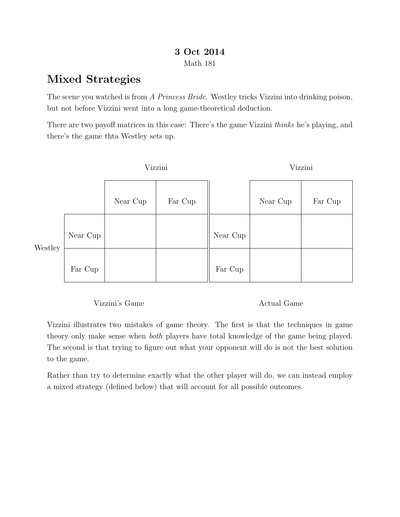## 3 Oct 2014 Math 181

## Mixed Strategies

The scene you watched is from A Princess Bride. Westley tricks Vizzini into drinking poison, but not before Vizzini went into a long game-theoretical deduction.

There are two payoff matrices in this case: There's the game Vizzini thinks he's playing, and there's the game thta Westley sets up.

|         |          | Vizzini  |         |          | Vizzini  |         |  |
|---------|----------|----------|---------|----------|----------|---------|--|
|         |          | Near Cup | Far Cup |          | Near Cup | Far Cup |  |
| Westley | Near Cup |          |         | Near Cup |          |         |  |
|         | Far Cup  |          |         | Far Cup  |          |         |  |

Vizzini's Game

Actual Game

Vizzini illustrates two mistakes of game theory. The first is that the techniques in game theory only make sense when both players have total knowledge of the game being played. The second is that trying to figure out what your opponent will do is not the best solution to the game.

Rather than try to determine exactly what the other player will do, we can instead employ a mixed strategy (defined below) that will account for all possible outcomes.